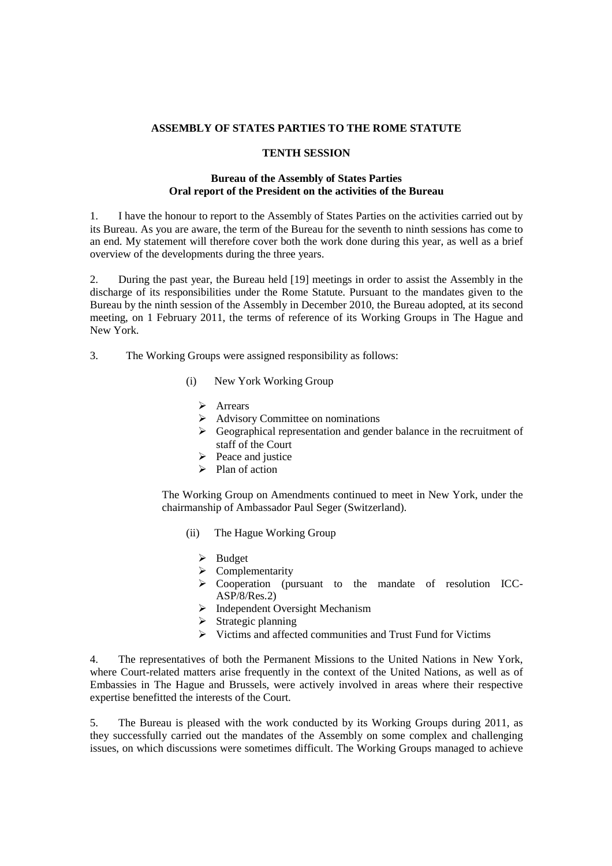## **ASSEMBLY OF STATES PARTIES TO THE ROME STATUTE**

## **TENTH SESSION**

## **Bureau of the Assembly of States Parties Oral report of the President on the activities of the Bureau**

1. I have the honour to report to the Assembly of States Parties on the activities carried out by its Bureau. As you are aware, the term of the Bureau for the seventh to ninth sessions has come to an end. My statement will therefore cover both the work done during this year, as well as a brief overview of the developments during the three years.

2. During the past year, the Bureau held [19] meetings in order to assist the Assembly in the discharge of its responsibilities under the Rome Statute. Pursuant to the mandates given to the Bureau by the ninth session of the Assembly in December 2010, the Bureau adopted, at its second meeting, on 1 February 2011, the terms of reference of its Working Groups in The Hague and New York.

3.The Working Groups were assigned responsibility as follows:

- (i) New York Working Group
	- > Arrears
	- $\triangleright$  Advisory Committee on nominations
	- $\triangleright$  Geographical representation and gender balance in the recruitment of staff of the Court
	- $\triangleright$  Peace and justice
	- $\triangleright$  Plan of action

The Working Group on Amendments continued to meet in New York, under the chairmanship of Ambassador Paul Seger (Switzerland).

- (ii) The Hague Working Group
	- $\triangleright$  Budget
	- $\triangleright$  Complementarity
	- Cooperation (pursuant to the mandate of resolution ICC-ASP/8/Res.2)
	- $\triangleright$  Independent Oversight Mechanism
	- $\triangleright$  Strategic planning
	- $\triangleright$  Victims and affected communities and Trust Fund for Victims

4. The representatives of both the Permanent Missions to the United Nations in New York, where Court-related matters arise frequently in the context of the United Nations, as well as of Embassies in The Hague and Brussels, were actively involved in areas where their respective expertise benefitted the interests of the Court.

5. The Bureau is pleased with the work conducted by its Working Groups during 2011, as they successfully carried out the mandates of the Assembly on some complex and challenging issues, on which discussions were sometimes difficult. The Working Groups managed to achieve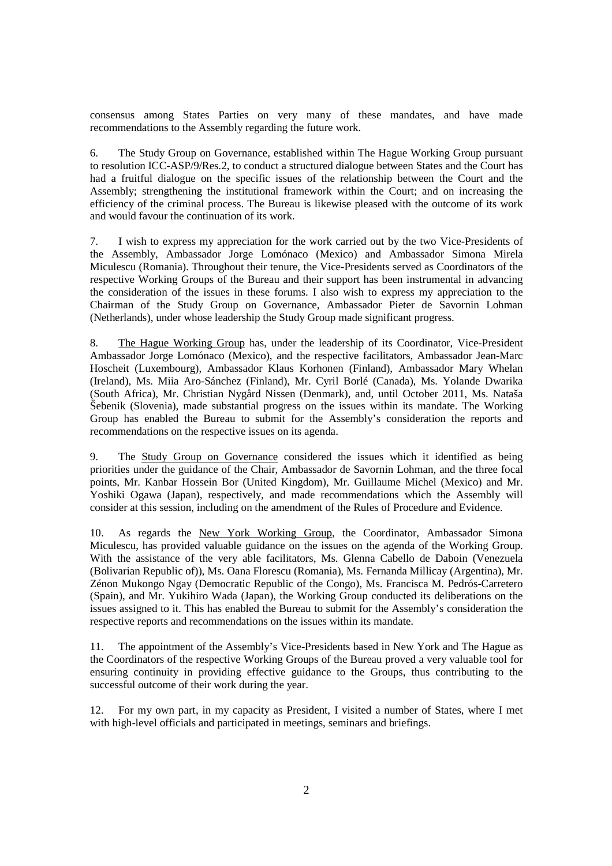consensus among States Parties on very many of these mandates, and have made recommendations to the Assembly regarding the future work.

6. The Study Group on Governance, established within The Hague Working Group pursuant to resolution ICC-ASP/9/Res.2, to conduct a structured dialogue between States and the Court has had a fruitful dialogue on the specific issues of the relationship between the Court and the Assembly; strengthening the institutional framework within the Court; and on increasing the efficiency of the criminal process. The Bureau is likewise pleased with the outcome of its work and would favour the continuation of its work.

7. I wish to express my appreciation for the work carried out by the two Vice-Presidents of the Assembly, Ambassador Jorge Lomónaco (Mexico) and Ambassador Simona Mirela Miculescu (Romania). Throughout their tenure, the Vice-Presidents served as Coordinators of the respective Working Groups of the Bureau and their support has been instrumental in advancing the consideration of the issues in these forums. I also wish to express my appreciation to the Chairman of the Study Group on Governance, Ambassador Pieter de Savornin Lohman (Netherlands), under whose leadership the Study Group made significant progress.

8. The Hague Working Group has, under the leadership of its Coordinator, Vice-President Ambassador Jorge Lomónaco (Mexico), and the respective facilitators, Ambassador Jean-Marc Hoscheit (Luxembourg), Ambassador Klaus Korhonen (Finland), Ambassador Mary Whelan (Ireland), Ms. Miia Aro-Sánchez (Finland), Mr. Cyril Borlé (Canada), Ms. Yolande Dwarika (South Africa), Mr. Christian Nygård Nissen (Denmark), and, until October 2011, Ms. Nataša Šebenik (Slovenia), made substantial progress on the issues within its mandate. The Working Group has enabled the Bureau to submit for the Assembly's consideration the reports and recommendations on the respective issues on its agenda.

9. The Study Group on Governance considered the issues which it identified as being priorities under the guidance of the Chair, Ambassador de Savornin Lohman, and the three focal points, Mr. Kanbar Hossein Bor (United Kingdom), Mr. Guillaume Michel (Mexico) and Mr. Yoshiki Ogawa (Japan), respectively, and made recommendations which the Assembly will consider at this session, including on the amendment of the Rules of Procedure and Evidence.

10. As regards the New York Working Group, the Coordinator, Ambassador Simona Miculescu, has provided valuable guidance on the issues on the agenda of the Working Group. With the assistance of the very able facilitators, Ms. Glenna Cabello de Daboin (Venezuela (Bolivarian Republic of)), Ms. Oana Florescu (Romania), Ms. Fernanda Millicay (Argentina), Mr. Zénon Mukongo Ngay (Democratic Republic of the Congo), Ms. Francisca M. Pedrós-Carretero (Spain), and Mr. Yukihiro Wada (Japan), the Working Group conducted its deliberations on the issues assigned to it. This has enabled the Bureau to submit for the Assembly's consideration the respective reports and recommendations on the issues within its mandate.

11. The appointment of the Assembly's Vice-Presidents based in New York and The Hague as the Coordinators of the respective Working Groups of the Bureau proved a very valuable tool for ensuring continuity in providing effective guidance to the Groups, thus contributing to the successful outcome of their work during the year.

12. For my own part, in my capacity as President, I visited a number of States, where I met with high-level officials and participated in meetings, seminars and briefings.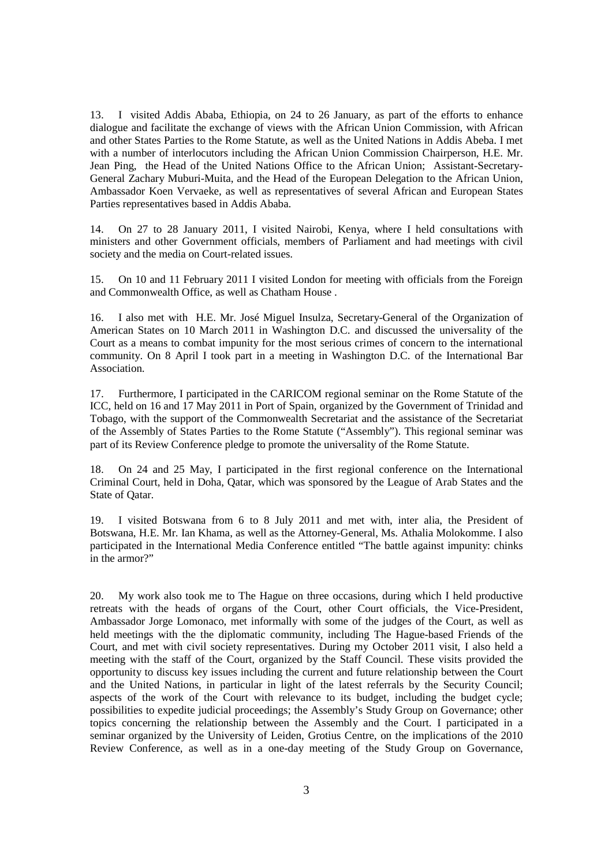13. I visited Addis Ababa, Ethiopia, on 24 to 26 January, as part of the efforts to enhance dialogue and facilitate the exchange of views with the African Union Commission, with African and other States Parties to the Rome Statute, as well as the United Nations in Addis Abeba. I met with a number of interlocutors including the African Union Commission Chairperson, H.E. Mr. Jean Ping, the Head of the United Nations Office to the African Union; Assistant-Secretary-General Zachary Muburi-Muita, and the Head of the European Delegation to the African Union, Ambassador Koen Vervaeke, as well as representatives of several African and European States Parties representatives based in Addis Ababa.

14. On 27 to 28 January 2011, I visited Nairobi, Kenya, where I held consultations with ministers and other Government officials, members of Parliament and had meetings with civil society and the media on Court-related issues.

15. On 10 and 11 February 2011 I visited London for meeting with officials from the Foreign and Commonwealth Office, as well as Chatham House .

16. I also met with H.E. Mr. José Miguel Insulza, Secretary-General of the Organization of American States on 10 March 2011 in Washington D.C. and discussed the universality of the Court as a means to combat impunity for the most serious crimes of concern to the international community. On 8 April I took part in a meeting in Washington D.C. of the International Bar Association.

17. Furthermore, I participated in the CARICOM regional seminar on the Rome Statute of the ICC, held on 16 and 17 May 2011 in Port of Spain, organized by the Government of Trinidad and Tobago, with the support of the Commonwealth Secretariat and the assistance of the Secretariat of the Assembly of States Parties to the Rome Statute ("Assembly"). This regional seminar was part of its Review Conference pledge to promote the universality of the Rome Statute.

18. On 24 and 25 May, I participated in the first regional conference on the International Criminal Court, held in Doha, Qatar, which was sponsored by the League of Arab States and the State of Qatar.

19. I visited Botswana from 6 to 8 July 2011 and met with, inter alia, the President of Botswana, H.E. Mr. Ian Khama, as well as the Attorney-General, Ms. Athalia Molokomme. I also participated in the International Media Conference entitled "The battle against impunity: chinks in the armor?"

20. My work also took me to The Hague on three occasions, during which I held productive retreats with the heads of organs of the Court, other Court officials, the Vice-President, Ambassador Jorge Lomonaco, met informally with some of the judges of the Court, as well as held meetings with the the diplomatic community, including The Hague-based Friends of the Court, and met with civil society representatives. During my October 2011 visit, I also held a meeting with the staff of the Court, organized by the Staff Council. These visits provided the opportunity to discuss key issues including the current and future relationship between the Court and the United Nations, in particular in light of the latest referrals by the Security Council; aspects of the work of the Court with relevance to its budget, including the budget cycle; possibilities to expedite judicial proceedings; the Assembly's Study Group on Governance; other topics concerning the relationship between the Assembly and the Court. I participated in a seminar organized by the University of Leiden, Grotius Centre, on the implications of the 2010 Review Conference, as well as in a one-day meeting of the Study Group on Governance,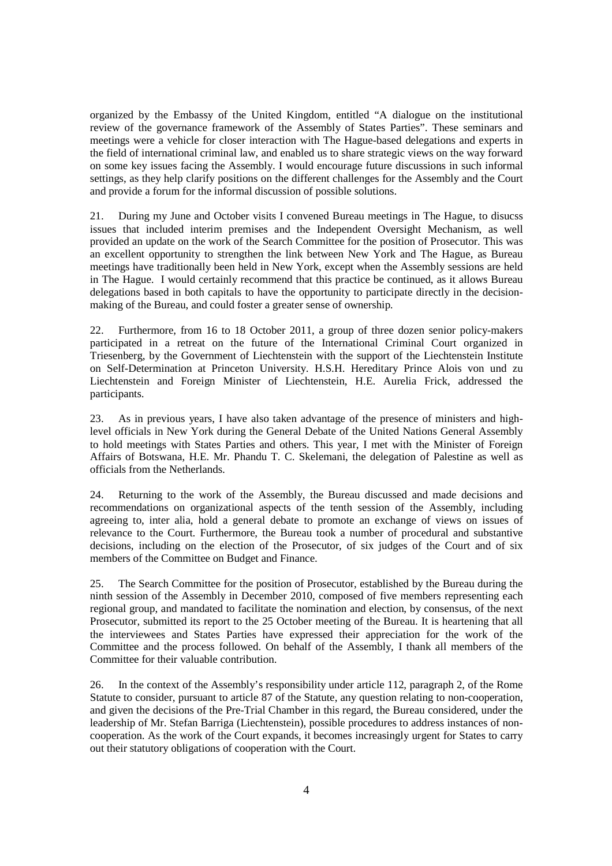organized by the Embassy of the United Kingdom, entitled "A dialogue on the institutional review of the governance framework of the Assembly of States Parties". These seminars and meetings were a vehicle for closer interaction with The Hague-based delegations and experts in the field of international criminal law, and enabled us to share strategic views on the way forward on some key issues facing the Assembly. I would encourage future discussions in such informal settings, as they help clarify positions on the different challenges for the Assembly and the Court and provide a forum for the informal discussion of possible solutions.

21. During my June and October visits I convened Bureau meetings in The Hague, to disucss issues that included interim premises and the Independent Oversight Mechanism, as well provided an update on the work of the Search Committee for the position of Prosecutor. This was an excellent opportunity to strengthen the link between New York and The Hague, as Bureau meetings have traditionally been held in New York, except when the Assembly sessions are held in The Hague. I would certainly recommend that this practice be continued, as it allows Bureau delegations based in both capitals to have the opportunity to participate directly in the decisionmaking of the Bureau, and could foster a greater sense of ownership.

22. Furthermore, from 16 to 18 October 2011, a group of three dozen senior policy-makers participated in a retreat on the future of the International Criminal Court organized in Triesenberg, by the Government of Liechtenstein with the support of the Liechtenstein Institute on Self-Determination at Princeton University. H.S.H. Hereditary Prince Alois von und zu Liechtenstein and Foreign Minister of Liechtenstein, H.E. Aurelia Frick, addressed the participants.

23. As in previous years, I have also taken advantage of the presence of ministers and highlevel officials in New York during the General Debate of the United Nations General Assembly to hold meetings with States Parties and others. This year, I met with the Minister of Foreign Affairs of Botswana, H.E. Mr. Phandu T. C. Skelemani, the delegation of Palestine as well as officials from the Netherlands.

24. Returning to the work of the Assembly, the Bureau discussed and made decisions and recommendations on organizational aspects of the tenth session of the Assembly, including agreeing to, inter alia, hold a general debate to promote an exchange of views on issues of relevance to the Court. Furthermore, the Bureau took a number of procedural and substantive decisions, including on the election of the Prosecutor, of six judges of the Court and of six members of the Committee on Budget and Finance.

25. The Search Committee for the position of Prosecutor, established by the Bureau during the ninth session of the Assembly in December 2010, composed of five members representing each regional group, and mandated to facilitate the nomination and election, by consensus, of the next Prosecutor, submitted its report to the 25 October meeting of the Bureau. It is heartening that all the interviewees and States Parties have expressed their appreciation for the work of the Committee and the process followed. On behalf of the Assembly, I thank all members of the Committee for their valuable contribution.

26. In the context of the Assembly's responsibility under article 112, paragraph 2, of the Rome Statute to consider, pursuant to article 87 of the Statute, any question relating to non-cooperation, and given the decisions of the Pre-Trial Chamber in this regard, the Bureau considered, under the leadership of Mr. Stefan Barriga (Liechtenstein), possible procedures to address instances of noncooperation. As the work of the Court expands, it becomes increasingly urgent for States to carry out their statutory obligations of cooperation with the Court.